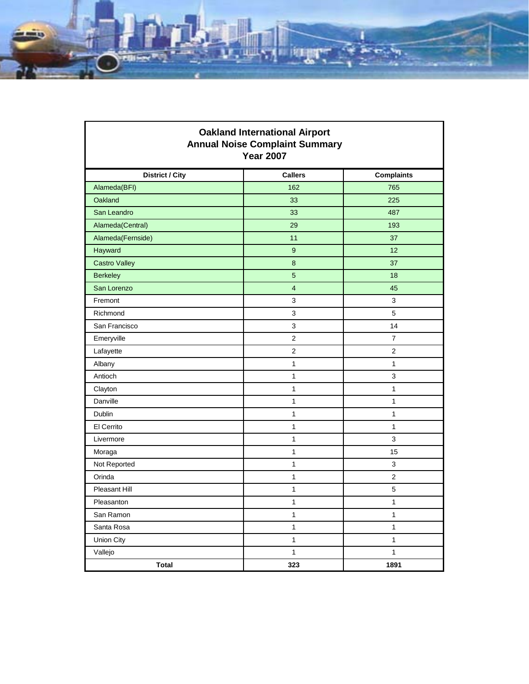

Г

| <b>Oakland International Airport</b><br><b>Annual Noise Complaint Summary</b><br><b>Year 2007</b> |                |                   |
|---------------------------------------------------------------------------------------------------|----------------|-------------------|
| <b>District / City</b>                                                                            | <b>Callers</b> | <b>Complaints</b> |
| Alameda(BFI)                                                                                      | 162            | 765               |
| Oakland                                                                                           | 33             | 225               |
| San Leandro                                                                                       | 33             | 487               |
| Alameda(Central)                                                                                  | 29             | 193               |
| Alameda(Fernside)                                                                                 | 11             | 37                |
| Hayward                                                                                           | 9              | 12                |
| <b>Castro Valley</b>                                                                              | 8              | 37                |
| <b>Berkeley</b>                                                                                   | 5              | 18                |
| San Lorenzo                                                                                       | $\overline{4}$ | 45                |
| Fremont                                                                                           | 3              | 3                 |
| Richmond                                                                                          | 3              | 5                 |
| San Francisco                                                                                     | 3              | 14                |
| Emeryville                                                                                        | 2              | 7                 |
| Lafayette                                                                                         | 2              | $\overline{2}$    |
| Albany                                                                                            | 1              | 1                 |
| Antioch                                                                                           | 1              | 3                 |
| Clayton                                                                                           | 1              | 1                 |
| Danville                                                                                          | $\mathbf{1}$   | $\mathbf{1}$      |
| Dublin                                                                                            | 1              | 1                 |
| El Cerrito                                                                                        | 1              | $\mathbf{1}$      |
| Livermore                                                                                         | 1              | 3                 |
| Moraga                                                                                            | $\mathbf{1}$   | 15                |
| Not Reported                                                                                      | 1              | 3                 |
| Orinda                                                                                            | 1              | $\overline{2}$    |
| Pleasant Hill                                                                                     | 1              | 5                 |
| Pleasanton                                                                                        | 1              | $\mathbf{1}$      |
| San Ramon                                                                                         | $\mathbf{1}$   | $\mathbf{1}$      |
| Santa Rosa                                                                                        | $\mathbf{1}$   | $\mathbf{1}$      |
| Union City                                                                                        | 1              | 1                 |
| Vallejo                                                                                           | $\mathbf 1$    | $\mathbf{1}$      |
| <b>Total</b>                                                                                      | 323            | 1891              |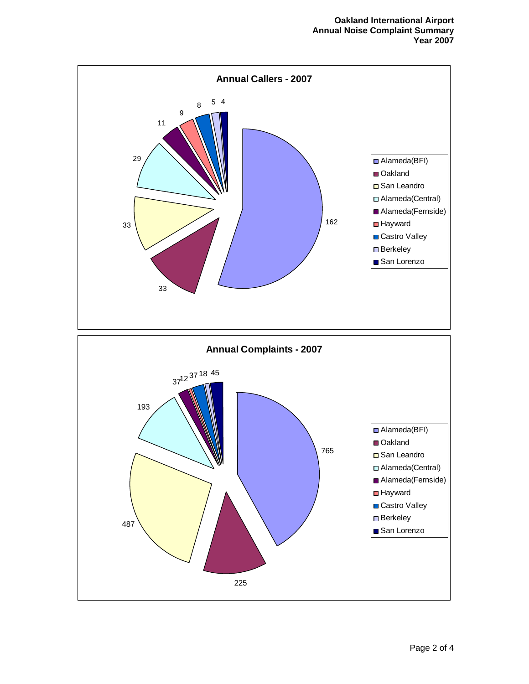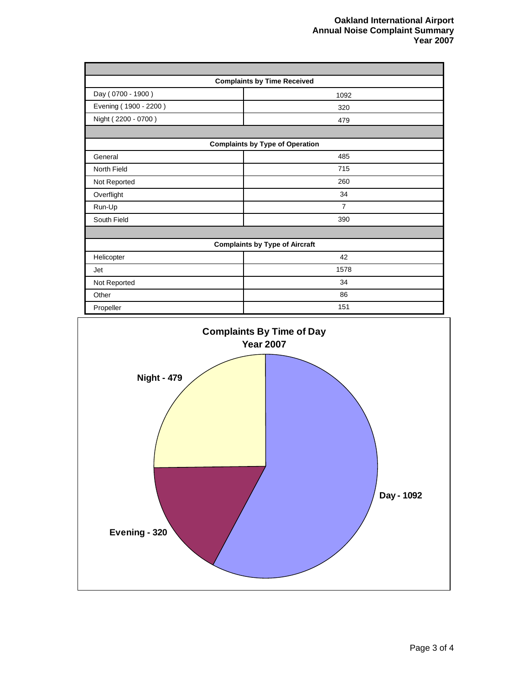| <b>Complaints by Time Received</b>     |                |  |
|----------------------------------------|----------------|--|
| Day (0700 - 1900)                      | 1092           |  |
| Evening (1900 - 2200)                  | 320            |  |
| Night (2200 - 0700)                    | 479            |  |
|                                        |                |  |
| <b>Complaints by Type of Operation</b> |                |  |
| General                                | 485            |  |
| North Field                            | 715            |  |
| Not Reported                           | 260            |  |
| Overflight                             | 34             |  |
| Run-Up                                 | $\overline{7}$ |  |
| South Field                            | 390            |  |
|                                        |                |  |
| <b>Complaints by Type of Aircraft</b>  |                |  |
| Helicopter                             | 42             |  |
| Jet                                    | 1578           |  |
| Not Reported                           | 34             |  |
| Other                                  | 86             |  |
| Propeller                              | 151            |  |